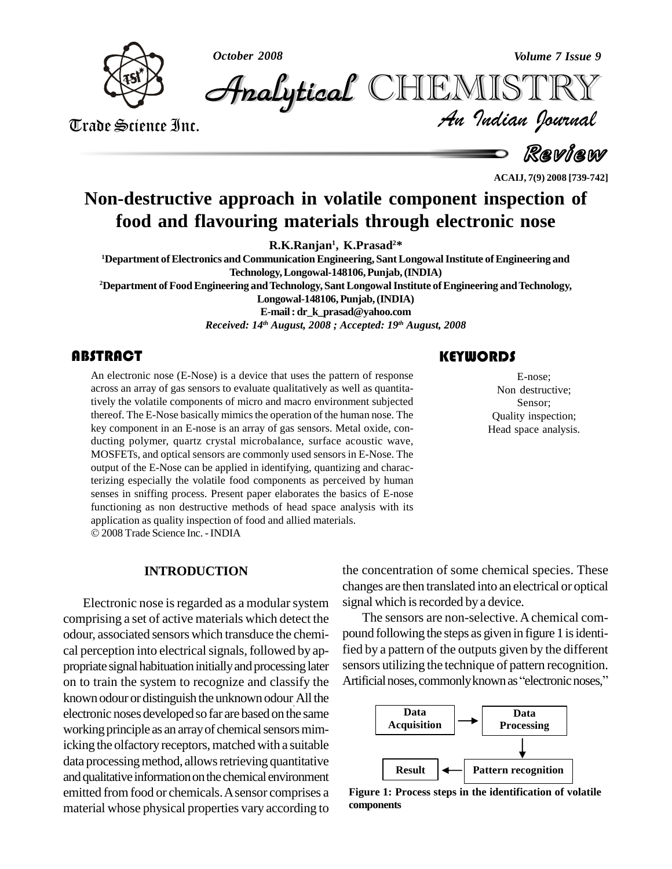

*October 2008 Volume 7 Issue 9*

*Volume 7 Issue 9*<br>IISTRY<br>*Indian hournal* **Analytical** CHEMISTRY

Trade Science Inc. Trade Science Inc.

Review

**ACAIJ, 7(9) 2008 [739-742]**

# **Non-destructive approach in volatile component inspection of food and flavouring materials through electronic nose**

**R.K.Ranjan 1 , K.Prasad <sup>2</sup>\***

**<sup>1</sup>Department ofElectronics and CommunicationEngineering, SantLongowalInstitute ofEngineering and Technology,Longowal-148106,Punjab,(INDIA) <sup>2</sup>Department ofFoodEngineering andTechnology,SantLongowalInstitute ofEngineering andTechnology,**

**Longowal-148106,Punjab,(INDIA)**

**E-mail: [dr\\_k\\_prasad@yahoo.com](mailto:dr_k_prasad@yahoo.com)**

*Received: 14 th August, 2008 ; Accepted: 19 th August, 2008*

An electronic nose (E-N<br>across an array of gas ser<br>tively the volatile compo An electronic nose (E-Nose) is a device that uses the pattern of response across an array of gas sensors to evaluate qualitatively as well as quantitatively the volatile components of micro and macro environment subjected thereof. The E-Nose basically mimics the operation of the human nose. The key component in an E-nose is an array of gas sensors. Metal oxide, con ducting polymer, quartz crystal microbalance, surface acoustic wave, MOSFETs, and optical sensors are commonly used sensors in E-Nose. The output of the E-Nose can be applied in identifying, quantizing and characterizing especially the volatile food components as perceived by human senses in sniffing process. Present paper elaborates the basics of E-nose functioning as non destructive methods of head space analysis with its application as quality inspection of food and allied materials. 2008 Trade Science Inc. -INDIA

**INTRODUCTION**

Electronic nose is regarded as a modular system comprising a set of active materials which detect the odour, associated sensors which transduce the chemi cal perception into electrical signals, followed by appropriate signal habituation initially and processing later on to train the system to recognize and classify the Artificial noses, commonly known as "electronic noses," known odour or distinguish the unknown odour .All the electronic noses developedso far are based on the same working principle as an array of chemical sensors mimicking the olfactory receptors, matched with a suitable data processing method, allows retrieving quantitative and qualitative information on the chemical environment emitted from food or chemicals. A sensor comprises a material whose physical properties vary according to

### **KEYWORDS**

E-nose;<br>
Non destructiv<br>
Sensor; E-nose; Non destructive; Sensor; Quality inspection; Head space analysis.

the concentration of some chemical species. These changes are then translated into an electrical or optical signal which is recorded by a device.

The sensors are non-selective. A chemical compound following the steps as given in figure 1 is identified by a pattern of the outputs given by the different<br>sensors utilizing the technique of pattern recognition.<br>Artificial noses, commonly known as ''electronic noses,'' sensors utilizing the technique of pattern recognition.



**Figure 1: Process steps in the identification of volatile components**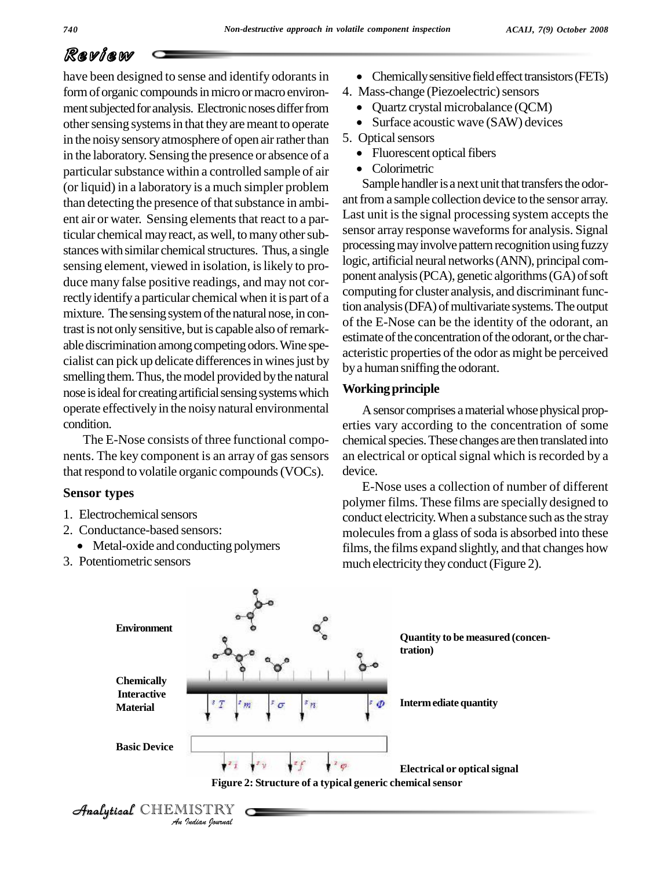## Review

have been designed to sense and identify odorants in form of organic compounds in micro or macro environ- 4. Mass-change (Piezoelectric) sensors ment subjected for analysis. Electronic noses differ from other sensing systems in that they are meant to operate in the noisy sensory atmosphere of open air rather than  $\,$  5. Optical sensors in the laboratory. Sensing the presence or absence of a particular substance within a controlled sample of air (or liquid) in a laboratory is a much simpler problem than detecting the presence of that substance in ambient air or water. Sensing elements that react to a particular chemical may react, as well, to many other substances with similar chemical structures. Thus, a single sensing element, viewed in isolation, is likely to produce many false positive readings, and may not correctly identify a particular chemical when it is part of a mixture. The sensing system of the natural nose, in contrast is not onlysensitive, but is capable also ofremark able discrimination among competing odors. Wine specialist can pick up delicate differences in wines just by smelling them. Thus, the model provided by the natural nose is ideal for creating artificial sensing systems which operate effectively in the noisy natural environmental condition.

The E-Nose consists of three functional compo nents. The key component is an array of gas sensors that respond to volatile organic compounds (VOCs).

#### **Sensor types**

- 1. Electrochemical sensors
- 2. Conductance-based sensors:
	- Metal-oxide and conducting polymers
- 3. Potentiometric sensors
- Chemicallysensitivefieldeffecttransistors(FETs) 4. Mass-change (Piezoelectric)sensors
- - Quartz crystal microbalance (QCM)
- Surface acoustic wave (SAW) devices 5. Opticalsensors
- - Fluorescent optical fibers
	- Colorimetric

Sample handler is a next unit that transfers the odorant from a sample collection device to the sensor array. Last unit is the signal processing system accepts the sensor array response waveforms for analysis. Signal processing may involve pattern recognition using fuzzy logic, artificial neural networks(ANN), principal com ponent analysis (PCA), genetic algorithms (GA) of soft computing for cluster analysis, and discriminant function analysis (DFA) of multivariate systems. The output of the E-Nose can be the identity of the odorant, an estimate of the concentration of the odorant, or the characteristic properties of the odor as might be perceived bya human sniffing the odorant.

#### **Workingprinciple**

A sensor comprises a material whose physical properties vary according to the concentration of some chemical species. These changes are then translated into an electrical or optical signal which is recorded by a device.

E-Nose uses a collection of number of different polymer films. These films are specially designed to conduct electricity. When a substance such as the stray molecules from a glass of soda is absorbed into these films, the films expand slightly, and that changes how much electricity they conduct (Figure 2).



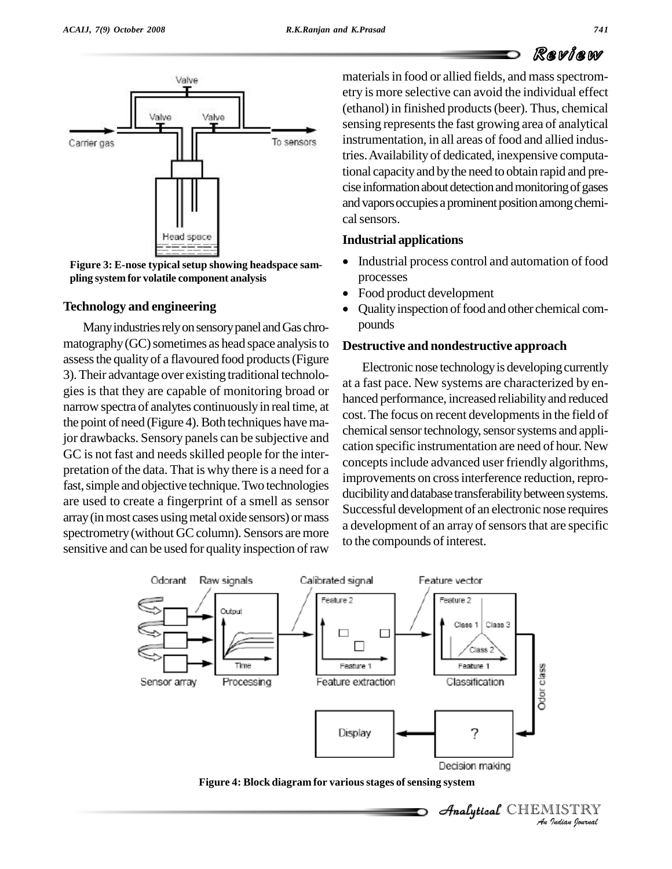

**Figure 3: E-nose typicalsetup showing headspace sam pling system for volatile component analysis**

#### **Technology and engineering**

Many industries rely on sensory panel and Gas chro $m$ atography $(GC)$  sometimes as head space analysis to assessthe qualityof a flavoured food products(Figure 3).Their advantage over existing traditional technolo gies is that they are capable of monitoring broad or narrow spectra of analytes continuouslyin real time, at the point of need (Figure 4). Both techniques have major drawbacks. Sensory panels can be subjective and GC is not fast and needs skilled people for the interpretation of the data. That is why there is a need for a fast, simple and objective technique. Two technologies are used to create a fingerprint of a smell as sensor array(inmost cases usingmetal oxide sensors) ormass spectrometry (without GC column). Sensors are more sensitive and can be used for quality inspection of raw

materials in food or allied fields, and mass spectrometry ismore selective can avoid the individual effect (ethanol) in finished products(beer). Thus, chemical sensing represents the fast growing area of analytical instrumentation, in all areas of food and allied industries.Availability of dedicated, inexpensive computational capacity and by the need to obtain rapid and precise information about detection and monitoring of gases and vapors occupies a prominent position among chemical sensors.

#### **Industrial applications**

- Industrial process control and automation of food processes processes<br>• Food product development
- 
- Quality inspection of food and other chemical com- $\bullet$ pounds

#### **Destructive and nondestructive approach**

Electronic nose technology is developing currently at a fast pace. New systems are characterized by en hanced performance, increased reliability and reduced cost. The focus on recent developments in the field of chemical sensor technology, sensor systems and application specific instrumentation are need of hour. New concepts include advanced user friendly algorithms, improvements on cross interference reduction, reproducibility and database transferability between systems. Successful development of an electronic nose requires a development of an array of sensors that are specific to the compounds of interest.